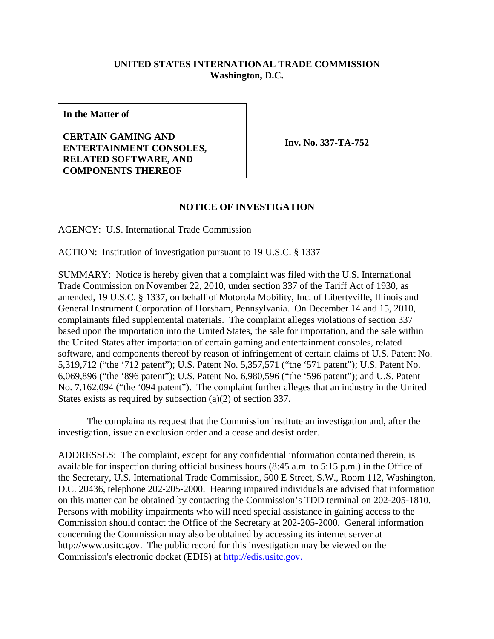## **UNITED STATES INTERNATIONAL TRADE COMMISSION Washington, D.C.**

**In the Matter of**

**CERTAIN GAMING AND ENTERTAINMENT CONSOLES, RELATED SOFTWARE, AND COMPONENTS THEREOF**

**Inv. No. 337-TA-752**

## **NOTICE OF INVESTIGATION**

AGENCY: U.S. International Trade Commission

ACTION: Institution of investigation pursuant to 19 U.S.C. § 1337

SUMMARY: Notice is hereby given that a complaint was filed with the U.S. International Trade Commission on November 22, 2010, under section 337 of the Tariff Act of 1930, as amended, 19 U.S.C. § 1337, on behalf of Motorola Mobility, Inc. of Libertyville, Illinois and General Instrument Corporation of Horsham, Pennsylvania. On December 14 and 15, 2010, complainants filed supplemental materials. The complaint alleges violations of section 337 based upon the importation into the United States, the sale for importation, and the sale within the United States after importation of certain gaming and entertainment consoles, related software, and components thereof by reason of infringement of certain claims of U.S. Patent No. 5,319,712 ("the '712 patent"); U.S. Patent No. 5,357,571 ("the '571 patent"); U.S. Patent No. 6,069,896 ("the '896 patent"); U.S. Patent No. 6,980,596 ("the '596 patent"); and U.S. Patent No. 7,162,094 ("the '094 patent"). The complaint further alleges that an industry in the United States exists as required by subsection (a)(2) of section 337.

The complainants request that the Commission institute an investigation and, after the investigation, issue an exclusion order and a cease and desist order.

ADDRESSES: The complaint, except for any confidential information contained therein, is available for inspection during official business hours (8:45 a.m. to 5:15 p.m.) in the Office of the Secretary, U.S. International Trade Commission, 500 E Street, S.W., Room 112, Washington, D.C. 20436, telephone 202-205-2000. Hearing impaired individuals are advised that information on this matter can be obtained by contacting the Commission's TDD terminal on 202-205-1810. Persons with mobility impairments who will need special assistance in gaining access to the Commission should contact the Office of the Secretary at 202-205-2000. General information concerning the Commission may also be obtained by accessing its internet server at http://www.usitc.gov. The public record for this investigation may be viewed on the Commission's electronic docket (EDIS) at http://edis.usitc.gov.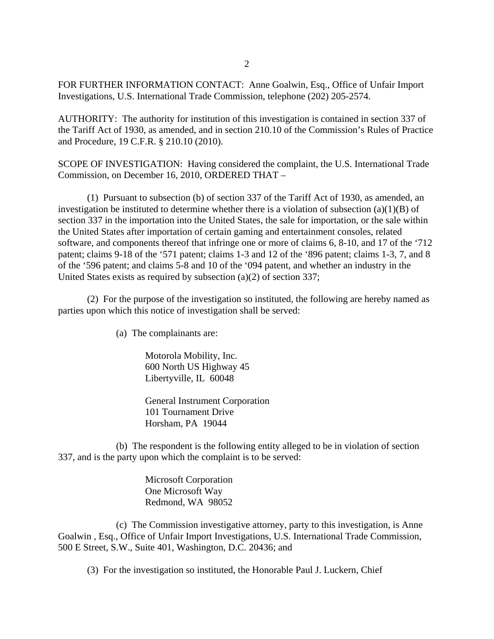FOR FURTHER INFORMATION CONTACT: Anne Goalwin, Esq., Office of Unfair Import Investigations, U.S. International Trade Commission, telephone (202) 205-2574.

AUTHORITY: The authority for institution of this investigation is contained in section 337 of the Tariff Act of 1930, as amended, and in section 210.10 of the Commission's Rules of Practice and Procedure, 19 C.F.R. § 210.10 (2010).

SCOPE OF INVESTIGATION: Having considered the complaint, the U.S. International Trade Commission, on December 16, 2010, ORDERED THAT –

(1) Pursuant to subsection (b) of section 337 of the Tariff Act of 1930, as amended, an investigation be instituted to determine whether there is a violation of subsection  $(a)(1)(B)$  of section 337 in the importation into the United States, the sale for importation, or the sale within the United States after importation of certain gaming and entertainment consoles, related software, and components thereof that infringe one or more of claims 6, 8-10, and 17 of the '712 patent; claims 9-18 of the '571 patent; claims 1-3 and 12 of the '896 patent; claims 1-3, 7, and 8 of the '596 patent; and claims 5-8 and 10 of the '094 patent, and whether an industry in the United States exists as required by subsection (a)(2) of section 337;

(2) For the purpose of the investigation so instituted, the following are hereby named as parties upon which this notice of investigation shall be served:

(a) The complainants are:

Motorola Mobility, Inc. 600 North US Highway 45 Libertyville, IL 60048

General Instrument Corporation 101 Tournament Drive Horsham, PA 19044

(b) The respondent is the following entity alleged to be in violation of section 337, and is the party upon which the complaint is to be served:

> Microsoft Corporation One Microsoft Way Redmond, WA 98052

(c) The Commission investigative attorney, party to this investigation, is Anne Goalwin , Esq., Office of Unfair Import Investigations, U.S. International Trade Commission, 500 E Street, S.W., Suite 401, Washington, D.C. 20436; and

(3) For the investigation so instituted, the Honorable Paul J. Luckern, Chief